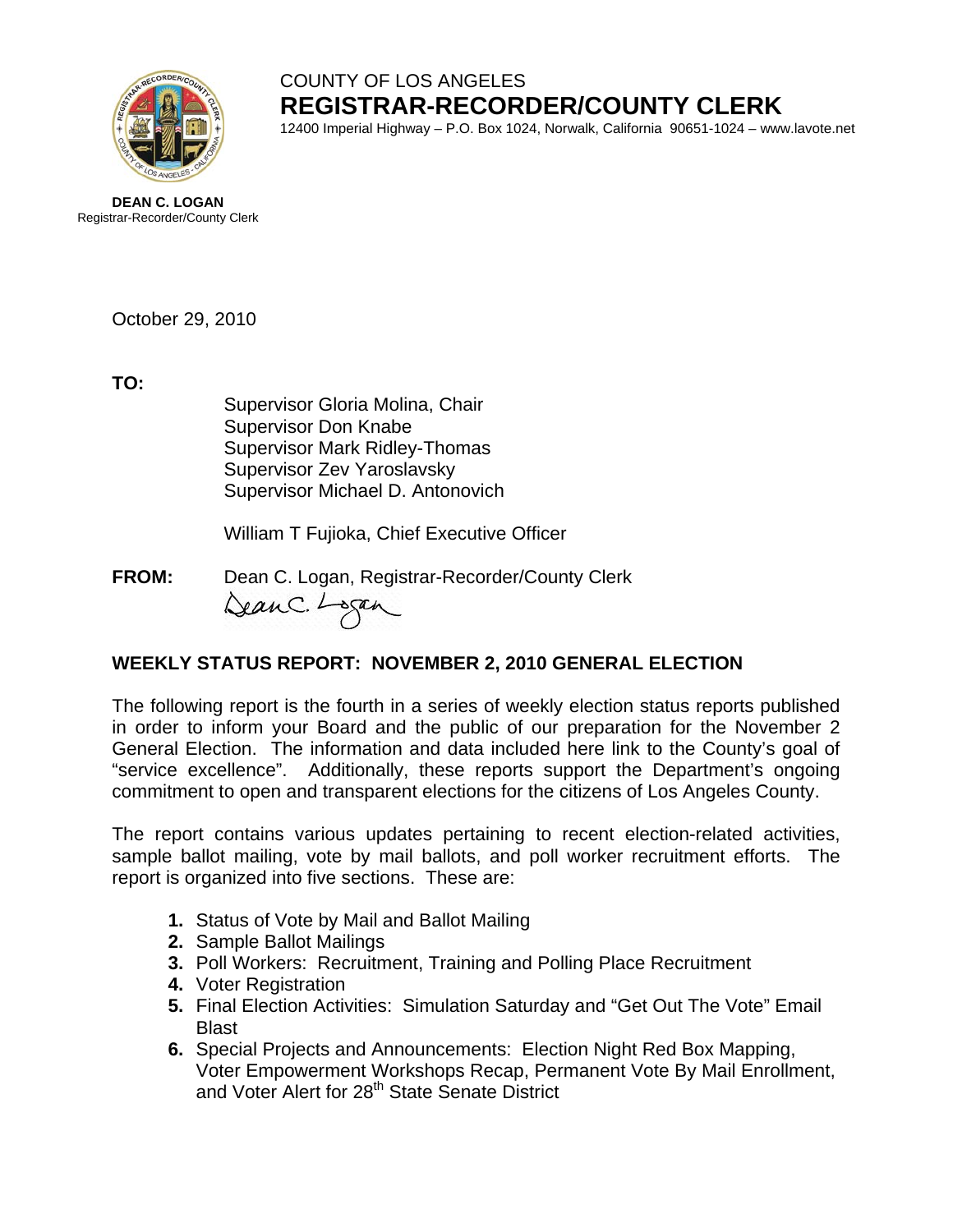

# COUNTY OF LOS ANGELES **REGISTRAR-RECORDER/COUNTY CLERK**

12400 Imperial Highway – P.O. Box 1024, Norwalk, California 90651-1024 – www.lavote.net

**DEAN C. LOGAN** Registrar-Recorder/County Clerk

October 29, 2010

**TO:**

Supervisor Gloria Molina, Chair Supervisor Don Knabe Supervisor Mark Ridley-Thomas Supervisor Zev Yaroslavsky Supervisor Michael D. Antonovich

William T Fujioka, Chief Executive Officer

**FROM:** Dean C. Logan, Registrar-Recorder/County Clerk DeanC. Logan

### **WEEKLY STATUS REPORT: NOVEMBER 2, 2010 GENERAL ELECTION**

The following report is the fourth in a series of weekly election status reports published in order to inform your Board and the public of our preparation for the November 2 General Election. The information and data included here link to the County's goal of "service excellence". Additionally, these reports support the Department's ongoing commitment to open and transparent elections for the citizens of Los Angeles County.

The report contains various updates pertaining to recent election-related activities, sample ballot mailing, vote by mail ballots, and poll worker recruitment efforts. The report is organized into five sections. These are:

- **1.** Status of Vote by Mail and Ballot Mailing
- **2.** Sample Ballot Mailings
- **3.** Poll Workers: Recruitment, Training and Polling Place Recruitment
- **4.** Voter Registration
- **5.** Final Election Activities: Simulation Saturday and "Get Out The Vote" Email Blast
- **6.** Special Projects and Announcements: Election Night Red Box Mapping, Voter Empowerment Workshops Recap, Permanent Vote By Mail Enrollment, and Voter Alert for 28<sup>th</sup> State Senate District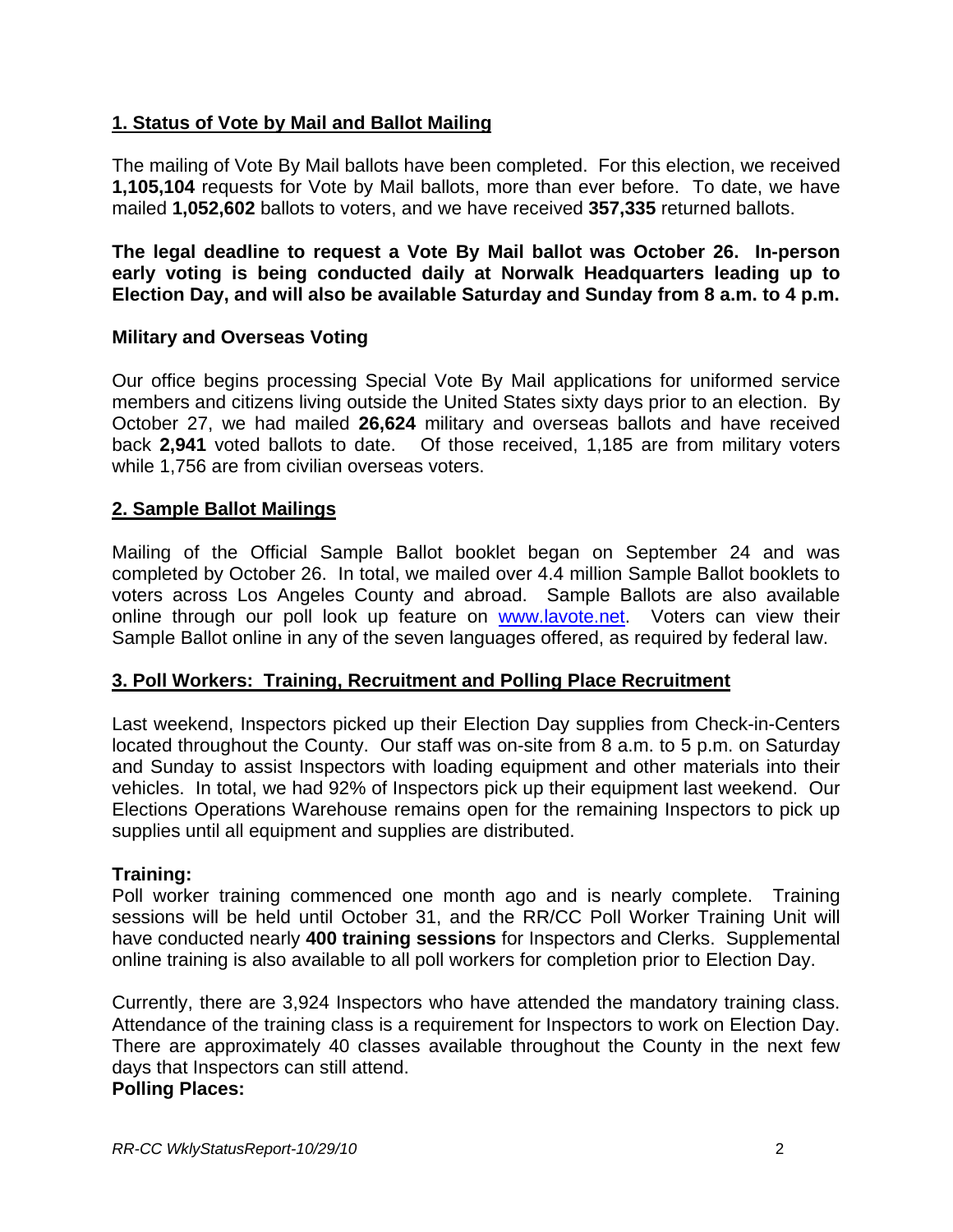#### **1. Status of Vote by Mail and Ballot Mailing**

The mailing of Vote By Mail ballots have been completed. For this election, we received **1,105,104** requests for Vote by Mail ballots, more than ever before. To date, we have mailed **1,052,602** ballots to voters, and we have received **357,335** returned ballots.

**The legal deadline to request a Vote By Mail ballot was October 26. In-person early voting is being conducted daily at Norwalk Headquarters leading up to Election Day, and will also be available Saturday and Sunday from 8 a.m. to 4 p.m.**

#### **Military and Overseas Voting**

Our office begins processing Special Vote By Mail applications for uniformed service members and citizens living outside the United States sixty days prior to an election. By October 27, we had mailed **26,624** military and overseas ballots and have received back **2,941** voted ballots to date. Of those received, 1,185 are from military voters while 1,756 are from civilian overseas voters.

#### **2. Sample Ballot Mailings**

Mailing of the Official Sample Ballot booklet began on September 24 and was completed by October 26. In total, we mailed over 4.4 million Sample Ballot booklets to voters across Los Angeles County and abroad. Sample Ballots are also available online through our poll look up feature on [www.lavote.net.](http://www.lavote.net/) Voters can view their Sample Ballot online in any of the seven languages offered, as required by federal law.

#### **3. Poll Workers: Training, Recruitment and Polling Place Recruitment**

Last weekend, Inspectors picked up their Election Day supplies from Check-in-Centers located throughout the County. Our staff was on-site from 8 a.m. to 5 p.m. on Saturday and Sunday to assist Inspectors with loading equipment and other materials into their vehicles. In total, we had 92% of Inspectors pick up their equipment last weekend. Our Elections Operations Warehouse remains open for the remaining Inspectors to pick up supplies until all equipment and supplies are distributed.

#### **Training:**

Poll worker training commenced one month ago and is nearly complete. Training sessions will be held until October 31, and the RR/CC Poll Worker Training Unit will have conducted nearly **400 training sessions** for Inspectors and Clerks. Supplemental online training is also available to all poll workers for completion prior to Election Day.

Currently, there are 3,924 Inspectors who have attended the mandatory training class. Attendance of the training class is a requirement for Inspectors to work on Election Day. There are approximately 40 classes available throughout the County in the next few days that Inspectors can still attend.

#### **Polling Places:**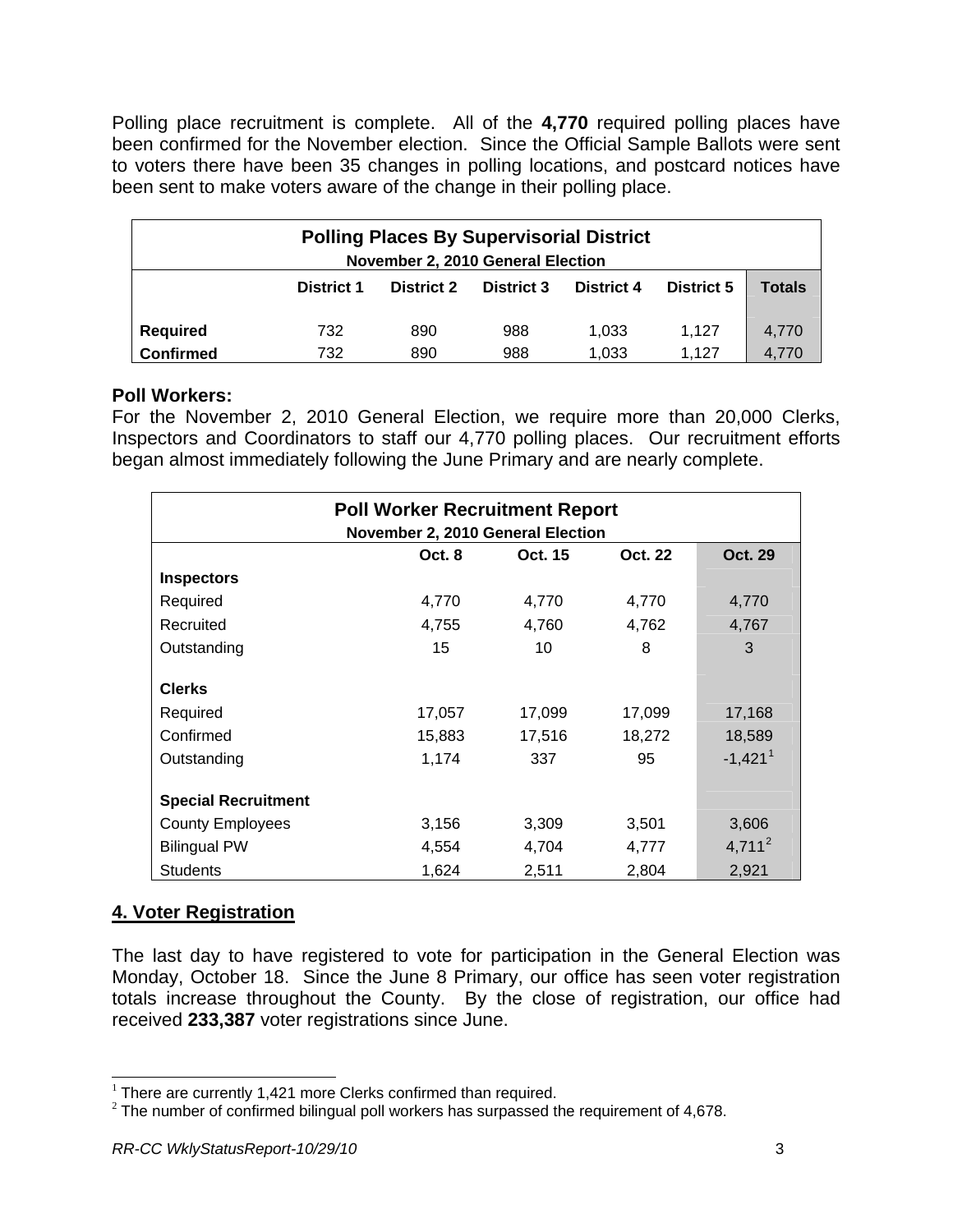Polling place recruitment is complete. All of the **4,770** required polling places have been confirmed for the November election. Since the Official Sample Ballots were sent to voters there have been 35 changes in polling locations, and postcard notices have been sent to make voters aware of the change in their polling place.

| <b>Polling Places By Supervisorial District</b><br>November 2, 2010 General Election |                   |                   |                   |                   |                   |               |  |
|--------------------------------------------------------------------------------------|-------------------|-------------------|-------------------|-------------------|-------------------|---------------|--|
|                                                                                      | <b>District 1</b> | <b>District 2</b> | <b>District 3</b> | <b>District 4</b> | <b>District 5</b> | <b>Totals</b> |  |
| <b>Required</b>                                                                      | 732               | 890               | 988               | 1.033             | 1.127             | 4.770         |  |
| <b>Confirmed</b>                                                                     | 732               | 890               | 988               | 1,033             | 1.127             | 4.770         |  |

#### **Poll Workers:**

For the November 2, 2010 General Election, we require more than 20,000 Clerks, Inspectors and Coordinators to staff our 4,770 polling places. Our recruitment efforts began almost immediately following the June Primary and are nearly complete.

| <b>Poll Worker Recruitment Report</b><br>November 2, 2010 General Election |        |         |         |                       |  |  |
|----------------------------------------------------------------------------|--------|---------|---------|-----------------------|--|--|
|                                                                            | Oct. 8 | Oct. 15 | Oct. 22 | <b>Oct. 29</b>        |  |  |
| <b>Inspectors</b>                                                          |        |         |         |                       |  |  |
| Required                                                                   | 4,770  | 4,770   | 4,770   | 4,770                 |  |  |
| Recruited                                                                  | 4,755  | 4,760   | 4,762   | 4,767                 |  |  |
| Outstanding                                                                | 15     | 10      | 8       | 3                     |  |  |
| <b>Clerks</b>                                                              |        |         |         |                       |  |  |
| Required                                                                   | 17,057 | 17,099  | 17,099  | 17,168                |  |  |
| Confirmed                                                                  | 15,883 | 17,516  | 18,272  | 18,589                |  |  |
| Outstanding                                                                | 1,174  | 337     | 95      | $-1,421$ <sup>1</sup> |  |  |
| <b>Special Recruitment</b>                                                 |        |         |         |                       |  |  |
| <b>County Employees</b>                                                    | 3,156  | 3,309   | 3,501   | 3,606                 |  |  |
| <b>Bilingual PW</b>                                                        | 4,554  | 4,704   | 4,777   | $4,711^2$             |  |  |
| <b>Students</b>                                                            | 1,624  | 2,511   | 2,804   | 2,921                 |  |  |

## **4. Voter Registration**

The last day to have registered to vote for participation in the General Election was Monday, October 18. Since the June 8 Primary, our office has seen voter registration totals increase throughout the County. By the close of registration, our office had received **233,387** voter registrations since June.

<span id="page-2-0"></span><sup>&</sup>lt;sup>1</sup> There are currently 1,421 more Clerks confirmed than required.

<span id="page-2-1"></span> $1$ <sup>2</sup> The number of confirmed bilingual poll workers has surpassed the requirement of 4,678.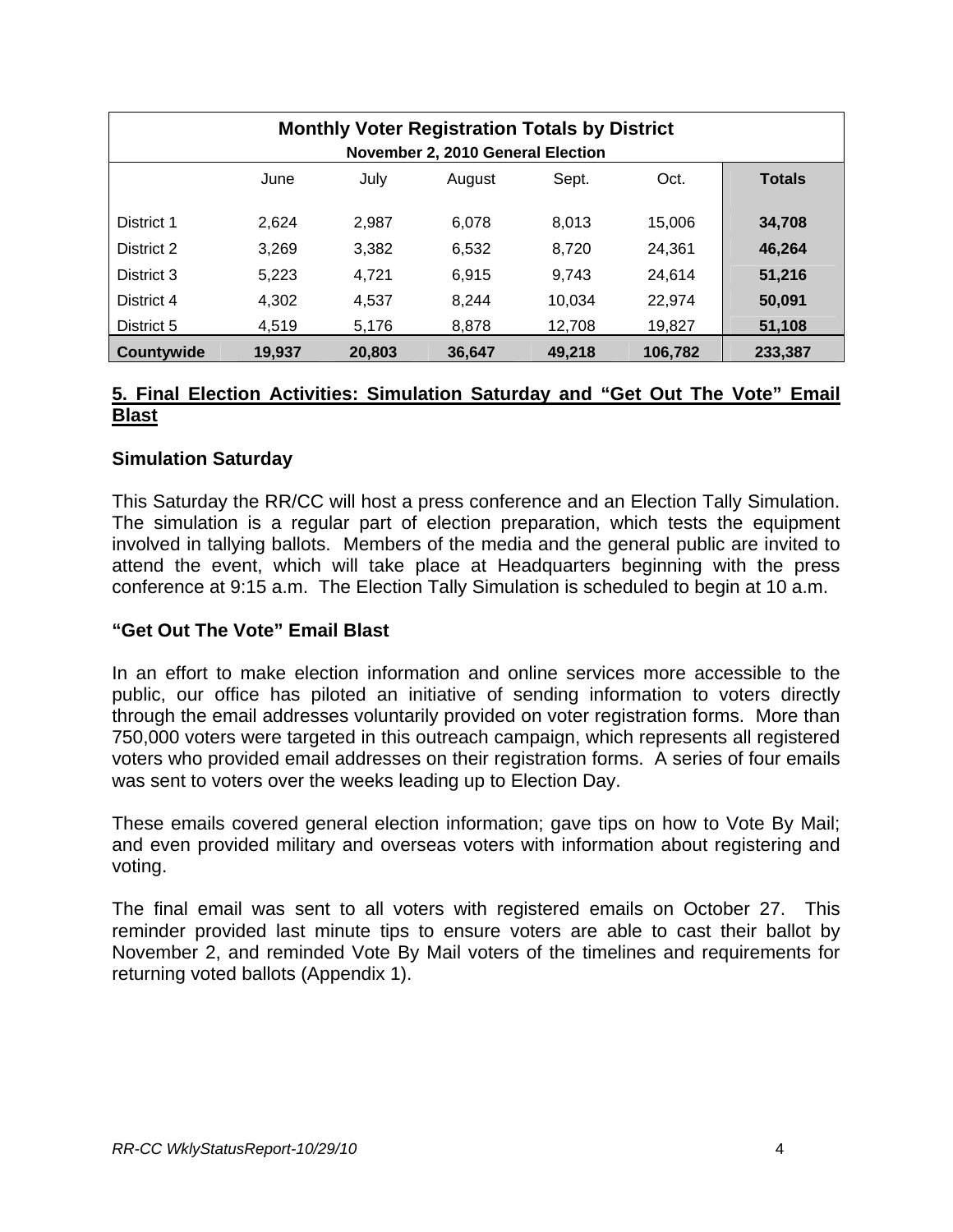| <b>Monthly Voter Registration Totals by District</b><br>November 2, 2010 General Election |       |       |        |        |        |               |
|-------------------------------------------------------------------------------------------|-------|-------|--------|--------|--------|---------------|
|                                                                                           | June  | July  | August | Sept.  | Oct.   | <b>Totals</b> |
| District 1                                                                                | 2.624 | 2.987 | 6.078  | 8.013  | 15.006 | 34,708        |
| District 2                                                                                | 3,269 | 3,382 | 6,532  | 8.720  | 24.361 | 46,264        |
| District 3                                                                                | 5.223 | 4.721 | 6,915  | 9.743  | 24.614 | 51,216        |
| District 4                                                                                | 4.302 | 4.537 | 8.244  | 10.034 | 22.974 | 50,091        |
| District 5                                                                                | 4.519 | 5.176 | 8.878  | 12,708 | 19,827 | 51,108        |
| Countywide<br>106,782<br>233,387<br>19,937<br>20,803<br>36.647<br>49.218                  |       |       |        |        |        |               |

#### **5. Final Election Activities: Simulation Saturday and "Get Out The Vote" Email Blast**

#### **Simulation Saturday**

This Saturday the RR/CC will host a press conference and an Election Tally Simulation. The simulation is a regular part of election preparation, which tests the equipment involved in tallying ballots. Members of the media and the general public are invited to attend the event, which will take place at Headquarters beginning with the press conference at 9:15 a.m. The Election Tally Simulation is scheduled to begin at 10 a.m.

#### **"Get Out The Vote" Email Blast**

In an effort to make election information and online services more accessible to the public, our office has piloted an initiative of sending information to voters directly through the email addresses voluntarily provided on voter registration forms. More than 750,000 voters were targeted in this outreach campaign, which represents all registered voters who provided email addresses on their registration forms. A series of four emails was sent to voters over the weeks leading up to Election Day.

These emails covered general election information; gave tips on how to Vote By Mail; and even provided military and overseas voters with information about registering and voting.

The final email was sent to all voters with registered emails on October 27. This reminder provided last minute tips to ensure voters are able to cast their ballot by November 2, and reminded Vote By Mail voters of the timelines and requirements for returning voted ballots (Appendix 1).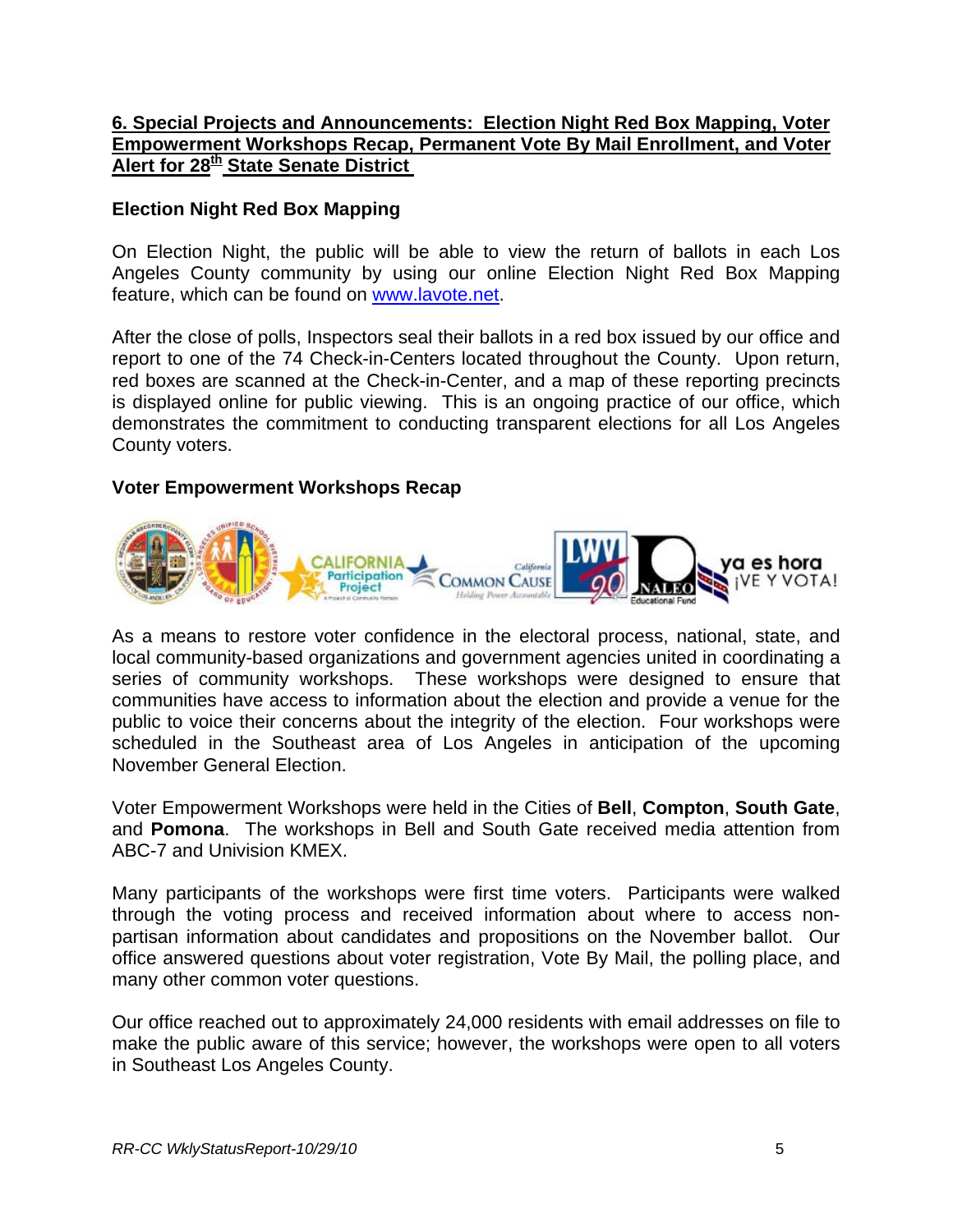#### **6. Special Projects and Announcements: Election Night Red Box Mapping, Voter Empowerment Workshops Recap, Permanent Vote By Mail Enrollment, and Voter Alert for 28<sup>th</sup> State Senate District**

#### **Election Night Red Box Mapping**

On Election Night, the public will be able to view the return of ballots in each Los Angeles County community by using our online Election Night Red Box Mapping feature, which can be found on [www.lavote.net.](http://www.lavote.net/)

After the close of polls, Inspectors seal their ballots in a red box issued by our office and report to one of the 74 Check-in-Centers located throughout the County. Upon return, red boxes are scanned at the Check-in-Center, and a map of these reporting precincts is displayed online for public viewing. This is an ongoing practice of our office, which demonstrates the commitment to conducting transparent elections for all Los Angeles County voters.

#### **Voter Empowerment Workshops Recap**



As a means to restore voter confidence in the electoral process, national, state, and local community-based organizations and government agencies united in coordinating a series of community workshops. These workshops were designed to ensure that communities have access to information about the election and provide a venue for the public to voice their concerns about the integrity of the election. Four workshops were scheduled in the Southeast area of Los Angeles in anticipation of the upcoming November General Election.

Voter Empowerment Workshops were held in the Cities of **Bell**, **Compton**, **South Gate**, and **Pomona**. The workshops in Bell and South Gate received media attention from ABC-7 and Univision KMEX.

Many participants of the workshops were first time voters. Participants were walked through the voting process and received information about where to access nonpartisan information about candidates and propositions on the November ballot. Our office answered questions about voter registration, Vote By Mail, the polling place, and many other common voter questions.

Our office reached out to approximately 24,000 residents with email addresses on file to make the public aware of this service; however, the workshops were open to all voters in Southeast Los Angeles County.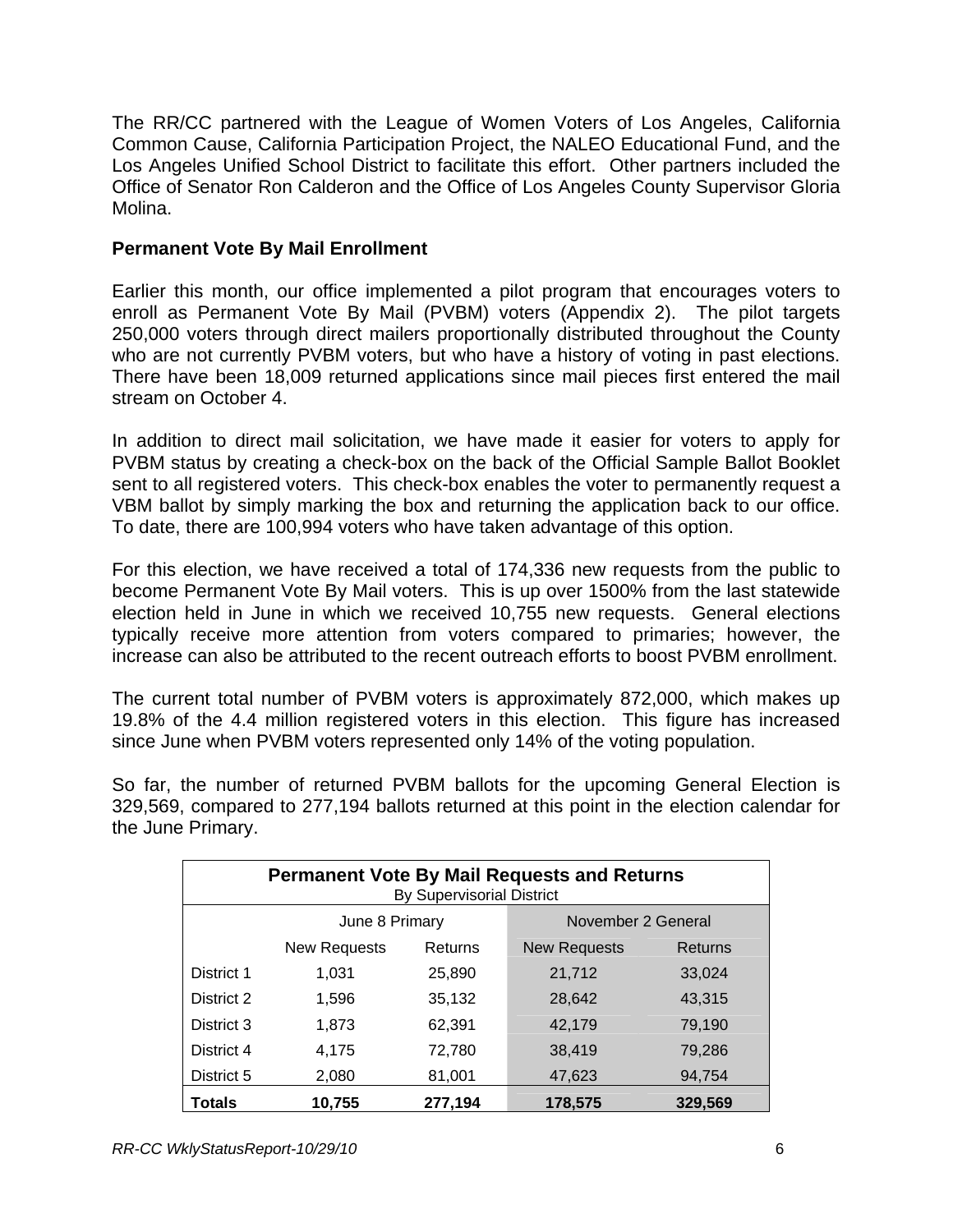The RR/CC partnered with the League of Women Voters of Los Angeles, California Common Cause, California Participation Project, the NALEO Educational Fund, and the Los Angeles Unified School District to facilitate this effort. Other partners included the Office of Senator Ron Calderon and the Office of Los Angeles County Supervisor Gloria Molina.

#### **Permanent Vote By Mail Enrollment**

Earlier this month, our office implemented a pilot program that encourages voters to enroll as Permanent Vote By Mail (PVBM) voters (Appendix 2). The pilot targets 250,000 voters through direct mailers proportionally distributed throughout the County who are not currently PVBM voters, but who have a history of voting in past elections. There have been 18,009 returned applications since mail pieces first entered the mail stream on October 4.

In addition to direct mail solicitation, we have made it easier for voters to apply for PVBM status by creating a check-box on the back of the Official Sample Ballot Booklet sent to all registered voters. This check-box enables the voter to permanently request a VBM ballot by simply marking the box and returning the application back to our office. To date, there are 100,994 voters who have taken advantage of this option.

For this election, we have received a total of 174,336 new requests from the public to become Permanent Vote By Mail voters. This is up over 1500% from the last statewide election held in June in which we received 10,755 new requests. General elections typically receive more attention from voters compared to primaries; however, the increase can also be attributed to the recent outreach efforts to boost PVBM enrollment.

The current total number of PVBM voters is approximately 872,000, which makes up 19.8% of the 4.4 million registered voters in this election. This figure has increased since June when PVBM voters represented only 14% of the voting population.

So far, the number of returned PVBM ballots for the upcoming General Election is 329,569, compared to 277,194 ballots returned at this point in the election calendar for the June Primary.

| <b>Permanent Vote By Mail Requests and Returns</b><br><b>By Supervisorial District</b> |                     |         |                     |         |  |  |
|----------------------------------------------------------------------------------------|---------------------|---------|---------------------|---------|--|--|
|                                                                                        | June 8 Primary      |         | November 2 General  |         |  |  |
|                                                                                        | <b>New Requests</b> | Returns | <b>New Requests</b> | Returns |  |  |
| District 1                                                                             | 1,031               | 25,890  | 21,712              | 33,024  |  |  |
| District 2                                                                             | 1,596               | 35,132  | 28,642              | 43,315  |  |  |
| District 3                                                                             | 1,873               | 62,391  | 42,179              | 79,190  |  |  |
| District 4                                                                             | 4,175               | 72,780  | 38,419              | 79,286  |  |  |
| District 5                                                                             | 2,080               | 81,001  | 47,623              | 94,754  |  |  |
| <b>Totals</b>                                                                          | 10,755              | 277,194 | 178,575             | 329,569 |  |  |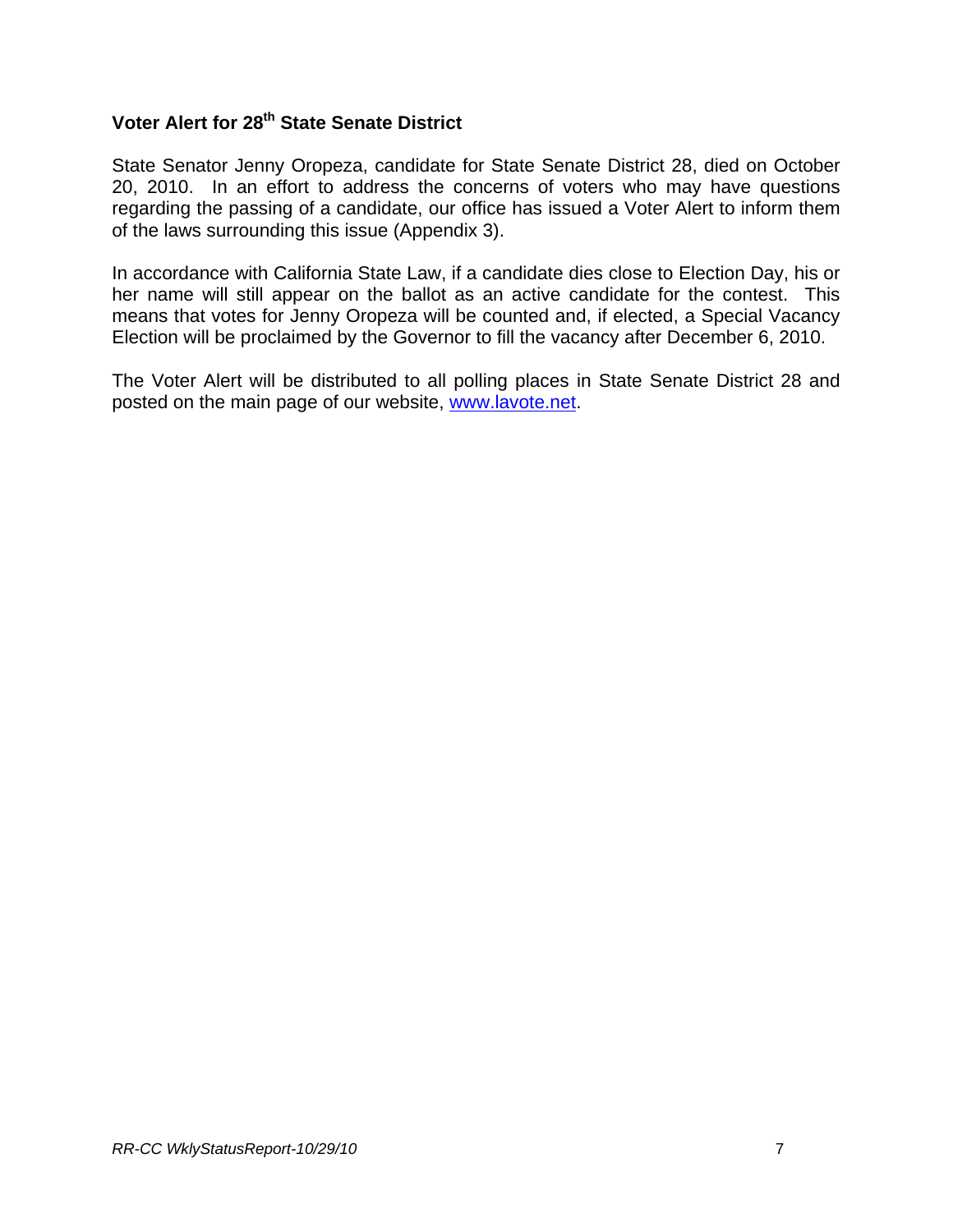# **Voter Alert for 28<sup>th</sup> State Senate District**

State Senator Jenny Oropeza, candidate for State Senate District 28, died on October 20, 2010. In an effort to address the concerns of voters who may have questions regarding the passing of a candidate, our office has issued a Voter Alert to inform them of the laws surrounding this issue (Appendix 3).

In accordance with California State Law, if a candidate dies close to Election Day, his or her name will still appear on the ballot as an active candidate for the contest. This means that votes for Jenny Oropeza will be counted and, if elected, a Special Vacancy Election will be proclaimed by the Governor to fill the vacancy after December 6, 2010.

The Voter Alert will be distributed to all polling places in State Senate District 28 and posted on the main page of our website, [www.lavote.net](http://www.lavote.net/).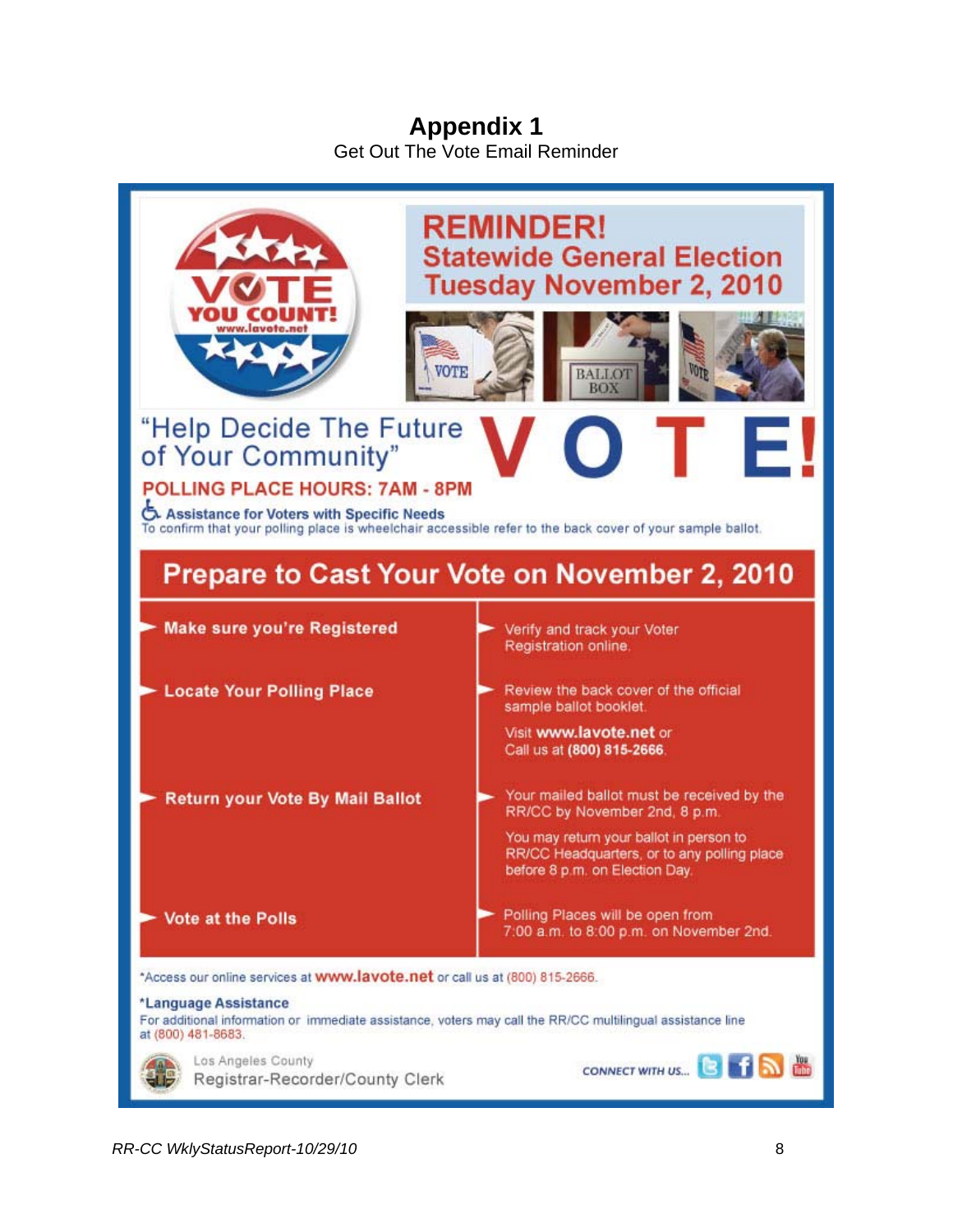## **Appendix 1** Get Out The Vote Email Reminder

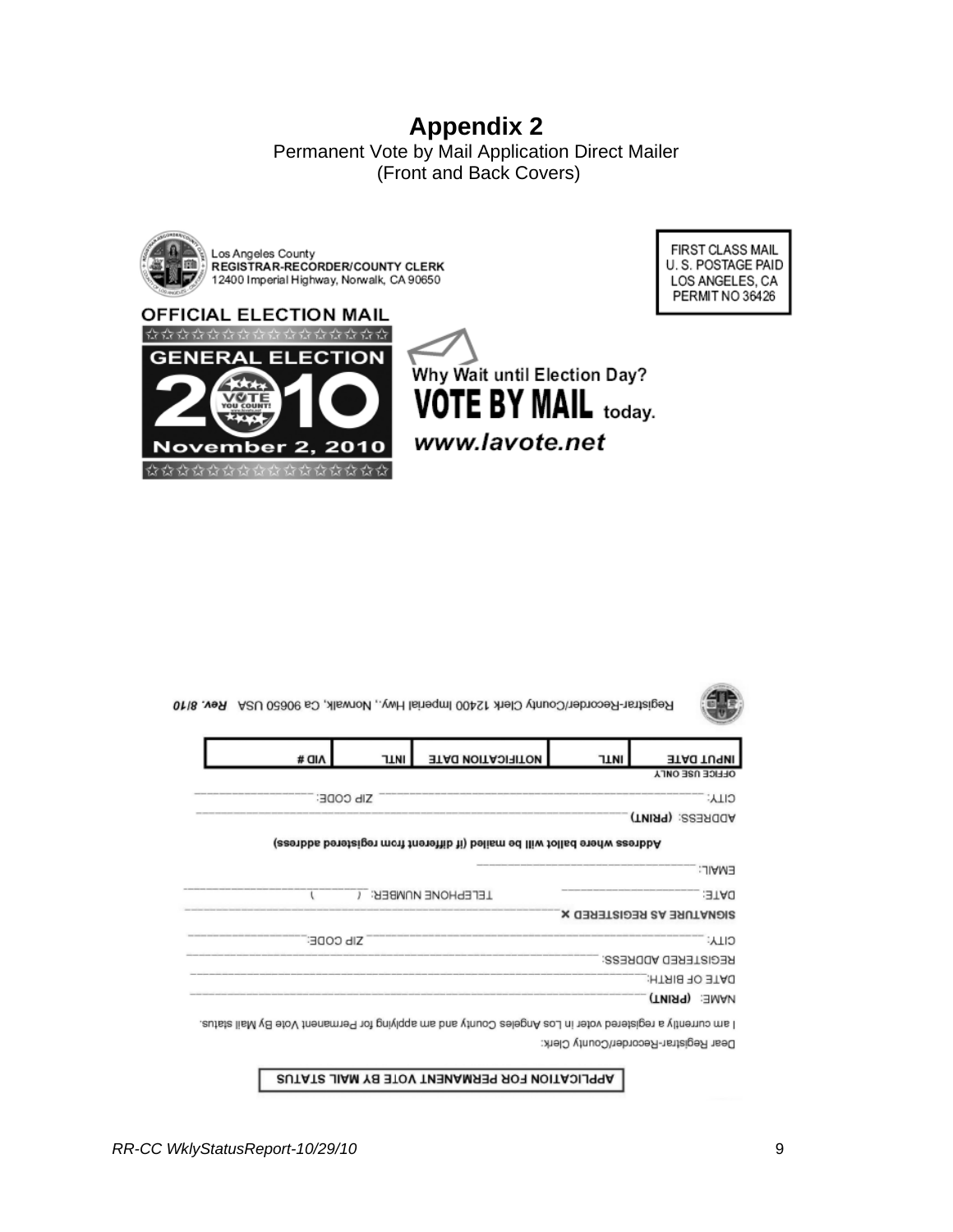# **Appendix 2**

Permanent Vote by Mail Application Direct Mailer (Front and Back Covers)









Registrar-Recorder/County Clerk 12400 Imperial Hwy., Norwalk, Ca 90650 USA Rev. 8/10

|                                                                           | # OIA                                                                                                                      | <b>TINI</b>      | <b>NOTIFICATION DATE</b> | <b>TLNI</b> | <b>INPUT DATE</b>         |
|---------------------------------------------------------------------------|----------------------------------------------------------------------------------------------------------------------------|------------------|--------------------------|-------------|---------------------------|
|                                                                           |                                                                                                                            |                  |                          |             | <b>OFFICE USE ONLY</b>    |
|                                                                           |                                                                                                                            | <b>SIP CODE:</b> |                          |             | CILA:                     |
|                                                                           |                                                                                                                            |                  |                          |             | ADDRESS: (PRINT)          |
| Adress where ballot will be mailed (if different from registered address) |                                                                                                                            |                  |                          |             |                           |
|                                                                           |                                                                                                                            |                  |                          |             | EMAIL:                    |
|                                                                           |                                                                                                                            |                  | <b>TELEPHONE NUMBER:</b> |             | :3TAU                     |
|                                                                           |                                                                                                                            |                  |                          |             | SIGNATURE AS REGISTERED X |
|                                                                           |                                                                                                                            | SIP CODE:        |                          |             | CILA:                     |
|                                                                           |                                                                                                                            |                  |                          |             | REGISTERED ADDRESS:       |
|                                                                           |                                                                                                                            |                  |                          |             | DATE OF BIRTH:            |
|                                                                           |                                                                                                                            |                  |                          |             | <b>(TMIRT) : EMAN</b>     |
|                                                                           | ו אנון כמנופלות א נפטוצופופס גמופן ונו רמפ איוטפופפ ריסמנונל אנום אנון אלולולונוט וסו ו-פוננואנונונג גמופן או מאון פואומפן |                  |                          |             |                           |

Dear Registrar-Recorder/County Clerk:

APPLICATION FOR PERMANENT VOTE BY MAIL STATUS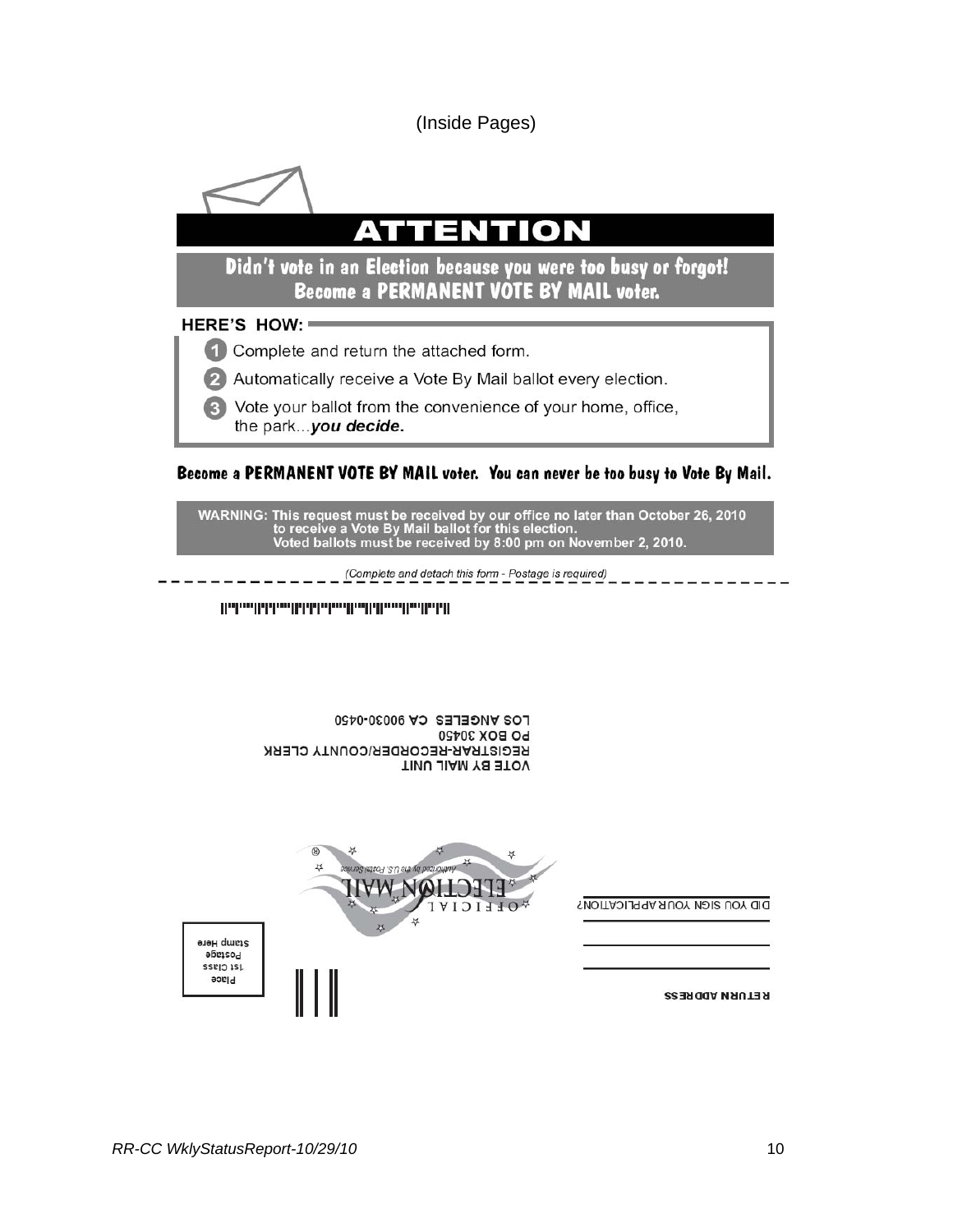(Inside Pages)



#### Become a PERMANENT VOTE BY MAIL voter. You can never be too busy to Vote By Mail.

WARNING: This request must be received by our office no later than October 26, 2010<br>to receive a Vote By Mail ballot for this election.<br>Voted ballots must be received by 8:00 pm on November 2, 2010.

(Complete and detach this form - Postage is required)

LOS ANGELES CA 90030-0450 **PO BOX 30450** REGISTRAR-RECORDER/COUNTY CLERK VOTE BY MAIL UNIT



RETURN ADDRESS